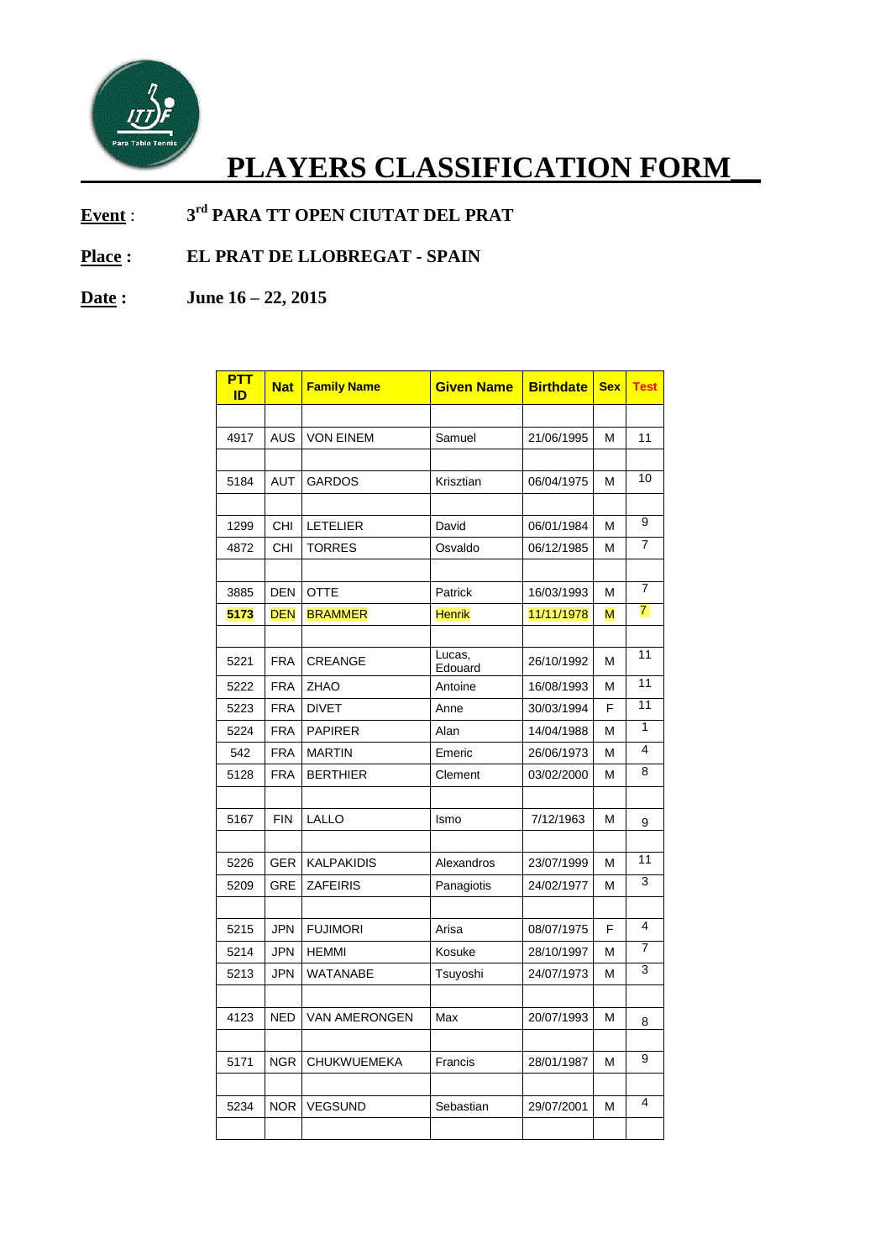

## **PLAYERS CLASSIFICATION FORM\_\_**

**Event** : **3 rd PARA TT OPEN CIUTAT DEL PRAT** 

## **Place : EL PRAT DE LLOBREGAT - SPAIN**

## **Date : June 16 – 22, 2015**

| <b>PTT</b><br>ID | <b>Nat</b> | <b>Family Name</b>   | <b>Given Name</b> | <b>Birthdate</b> | <b>Sex</b> | <b>Test</b>     |
|------------------|------------|----------------------|-------------------|------------------|------------|-----------------|
|                  |            |                      |                   |                  |            |                 |
| 4917             | <b>AUS</b> | <b>VON EINEM</b>     | Samuel            | 21/06/1995       | М          | 11              |
|                  |            |                      |                   |                  |            |                 |
| 5184             | <b>AUT</b> | <b>GARDOS</b>        | Krisztian         | 06/04/1975       | M          | 10              |
|                  |            |                      |                   |                  |            |                 |
| 1299             | <b>CHI</b> | <b>LETELIER</b>      | David             | 06/01/1984       | М          | 9               |
| 4872             | <b>CHI</b> | <b>TORRES</b>        | Osvaldo           | 06/12/1985       | м          | 7               |
|                  |            |                      |                   |                  |            |                 |
| 3885             | <b>DEN</b> | <b>OTTE</b>          | Patrick           | 16/03/1993       | М          | $\overline{7}$  |
| 5173             | <b>DEN</b> | <b>BRAMMER</b>       | <b>Henrik</b>     | 11/11/1978       | M          | $\overline{7}$  |
|                  |            |                      |                   |                  |            |                 |
| 5221             | <b>FRA</b> | <b>CREANGE</b>       | Lucas,<br>Edouard | 26/10/1992       | м          | 11              |
| 5222             | <b>FRA</b> | <b>ZHAO</b>          | Antoine           | 16/08/1993       | М          | $\overline{11}$ |
| 5223             | <b>FRA</b> | <b>DIVET</b>         | Anne              | 30/03/1994       | F          | $\overline{11}$ |
| 5224             | <b>FRA</b> | <b>PAPIRER</b>       | Alan              | 14/04/1988       | М          | 1               |
| 542              | <b>FRA</b> | <b>MARTIN</b>        | Emeric            | 26/06/1973       | м          | 4               |
| 5128             | <b>FRA</b> | <b>BERTHIER</b>      | Clement           | 03/02/2000       | м          | 8               |
|                  |            |                      |                   |                  |            |                 |
| 5167             | <b>FIN</b> | LALLO                | Ismo              | 7/12/1963        | М          | 9               |
|                  |            |                      |                   |                  |            |                 |
| 5226             | <b>GER</b> | <b>KALPAKIDIS</b>    | Alexandros        | 23/07/1999       | м          | 11              |
| 5209             | GRE        | <b>ZAFEIRIS</b>      | Panagiotis        | 24/02/1977       | M          | 3               |
|                  |            |                      |                   |                  |            |                 |
| 5215             | <b>JPN</b> | <b>FUJIMORI</b>      | Arisa             | 08/07/1975       | F          | 4               |
| 5214             | <b>JPN</b> | <b>HEMMI</b>         | Kosuke            | 28/10/1997       | м          | 7               |
| 5213             | <b>JPN</b> | WATANABE             | Tsuyoshi          | 24/07/1973       | М          | 3               |
|                  |            |                      |                   |                  |            |                 |
| 4123             | <b>NED</b> | <b>VAN AMERONGEN</b> | Max               | 20/07/1993       | м          | 8               |
|                  |            |                      |                   |                  |            |                 |
| 5171             | <b>NGR</b> | <b>CHUKWUEMEKA</b>   | Francis           | 28/01/1987       | м          | 9               |
|                  |            |                      |                   |                  |            |                 |
| 5234             | <b>NOR</b> | <b>VEGSUND</b>       | Sebastian         | 29/07/2001       | М          | 4               |
|                  |            |                      |                   |                  |            |                 |